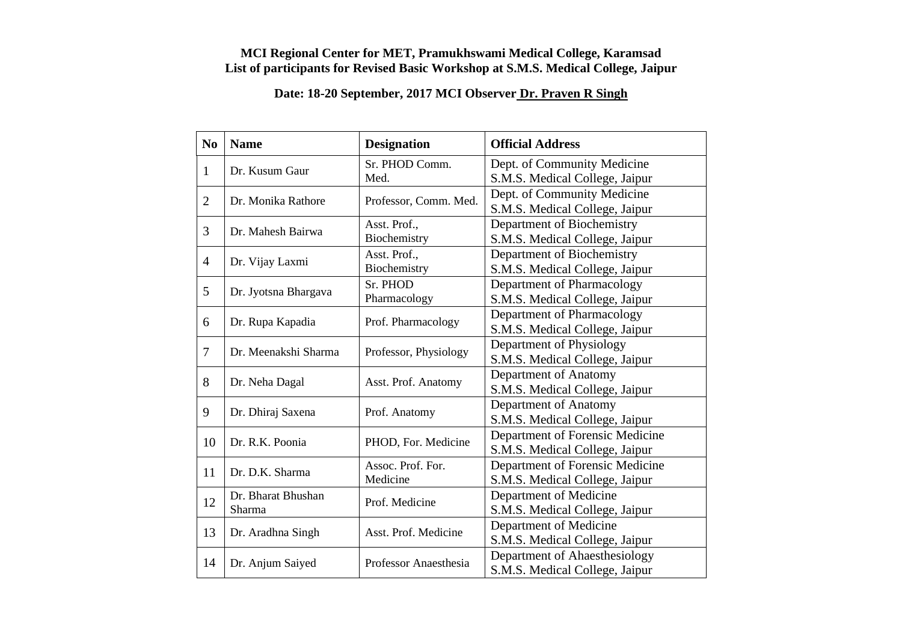## **MCI Regional Center for MET, Pramukhswami Medical College, Karamsad List of participants for Revised Basic Workshop at S.M.S. Medical College, Jaipur**

## **Date: 18-20 September, 2017 MCI Observer Dr. Praven R Singh**

| N <sub>0</sub> | <b>Name</b>                  | <b>Designation</b>    | <b>Official Address</b>         |
|----------------|------------------------------|-----------------------|---------------------------------|
| $\mathbf{1}$   | Dr. Kusum Gaur               | Sr. PHOD Comm.        | Dept. of Community Medicine     |
|                |                              | Med.                  | S.M.S. Medical College, Jaipur  |
| $\overline{2}$ | Dr. Monika Rathore           | Professor, Comm. Med. | Dept. of Community Medicine     |
|                |                              |                       | S.M.S. Medical College, Jaipur  |
| 3              | Dr. Mahesh Bairwa            | Asst. Prof.,          | Department of Biochemistry      |
|                |                              | Biochemistry          | S.M.S. Medical College, Jaipur  |
| $\overline{4}$ |                              | Asst. Prof.,          | Department of Biochemistry      |
|                | Dr. Vijay Laxmi              | Biochemistry          | S.M.S. Medical College, Jaipur  |
| 5              |                              | Sr. PHOD              | Department of Pharmacology      |
|                | Dr. Jyotsna Bhargava         | Pharmacology          | S.M.S. Medical College, Jaipur  |
| 6              |                              | Prof. Pharmacology    | Department of Pharmacology      |
|                | Dr. Rupa Kapadia             |                       | S.M.S. Medical College, Jaipur  |
| 7              | Dr. Meenakshi Sharma         | Professor, Physiology | Department of Physiology        |
|                |                              |                       | S.M.S. Medical College, Jaipur  |
| 8              | Dr. Neha Dagal               | Asst. Prof. Anatomy   | Department of Anatomy           |
|                |                              |                       | S.M.S. Medical College, Jaipur  |
| 9              | Dr. Dhiraj Saxena            | Prof. Anatomy         | Department of Anatomy           |
|                |                              |                       | S.M.S. Medical College, Jaipur  |
| 10             | Dr. R.K. Poonia              | PHOD, For. Medicine   | Department of Forensic Medicine |
|                |                              |                       | S.M.S. Medical College, Jaipur  |
| 11             | Dr. D.K. Sharma              | Assoc. Prof. For.     | Department of Forensic Medicine |
|                |                              | Medicine              | S.M.S. Medical College, Jaipur  |
|                | Dr. Bharat Bhushan<br>Sharma | Prof. Medicine        | Department of Medicine          |
| 12             |                              |                       | S.M.S. Medical College, Jaipur  |
|                | Dr. Aradhna Singh            | Asst. Prof. Medicine  | Department of Medicine          |
| 13             |                              |                       | S.M.S. Medical College, Jaipur  |
|                | Dr. Anjum Saiyed             | Professor Anaesthesia | Department of Ahaesthesiology   |
| 14             |                              |                       | S.M.S. Medical College, Jaipur  |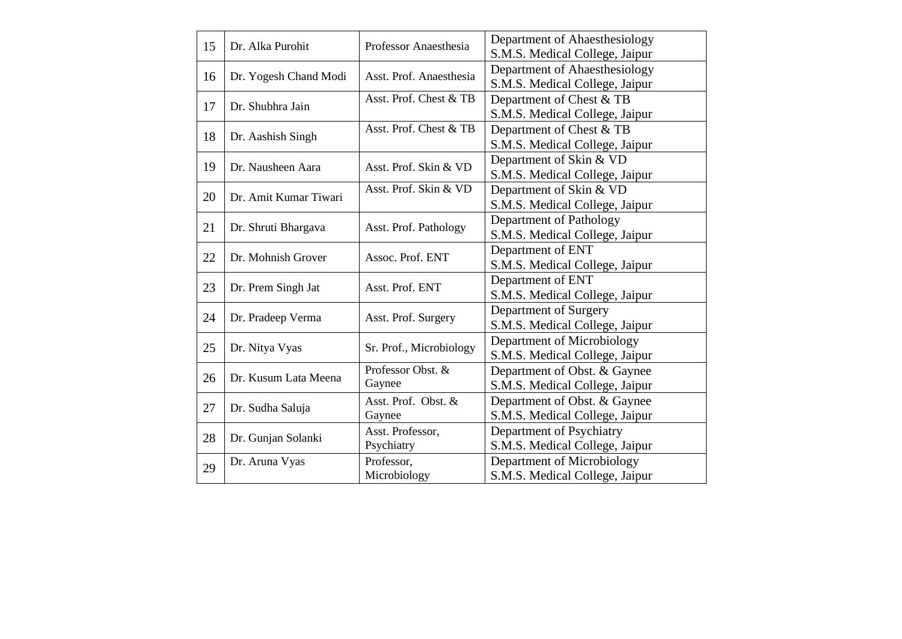| 15                        | Dr. Alka Purohit         | Professor Anaesthesia   | Department of Ahaesthesiology  |
|---------------------------|--------------------------|-------------------------|--------------------------------|
|                           |                          |                         | S.M.S. Medical College, Jaipur |
| 16                        | Dr. Yogesh Chand Modi    | Asst. Prof. Anaesthesia | Department of Ahaesthesiology  |
|                           |                          |                         | S.M.S. Medical College, Jaipur |
| 17                        | Dr. Shubhra Jain         | Asst. Prof. Chest & TB  | Department of Chest & TB       |
|                           |                          |                         | S.M.S. Medical College, Jaipur |
|                           |                          | Asst. Prof. Chest & TB  | Department of Chest & TB       |
| 18                        | Dr. Aashish Singh        |                         | S.M.S. Medical College, Jaipur |
|                           |                          |                         | Department of Skin & VD        |
| 19                        | Dr. Nausheen Aara        | Asst. Prof. Skin & VD   | S.M.S. Medical College, Jaipur |
|                           |                          | Asst. Prof. Skin & VD   | Department of Skin & VD        |
| 20                        | Dr. Amit Kumar Tiwari    |                         | S.M.S. Medical College, Jaipur |
| 21<br>Dr. Shruti Bhargava |                          | Asst. Prof. Pathology   | Department of Pathology        |
|                           |                          |                         | S.M.S. Medical College, Jaipur |
|                           | Dr. Mohnish Grover       | Assoc. Prof. ENT        | Department of ENT              |
| 22                        |                          |                         | S.M.S. Medical College, Jaipur |
|                           | 23<br>Dr. Prem Singh Jat | Asst. Prof. ENT         | Department of ENT              |
|                           |                          |                         | S.M.S. Medical College, Jaipur |
|                           | Dr. Pradeep Verma        | Asst. Prof. Surgery     | Department of Surgery          |
| 24                        |                          |                         | S.M.S. Medical College, Jaipur |
|                           | Dr. Nitya Vyas           | Sr. Prof., Microbiology | Department of Microbiology     |
| 25                        |                          |                         | S.M.S. Medical College, Jaipur |
|                           | Dr. Kusum Lata Meena     | Professor Obst. &       | Department of Obst. & Gaynee   |
| 26                        |                          | Gaynee                  | S.M.S. Medical College, Jaipur |
|                           | Dr. Sudha Saluja         | Asst. Prof. Obst. &     | Department of Obst. & Gaynee   |
| 27                        |                          | Gaynee                  | S.M.S. Medical College, Jaipur |
|                           | Dr. Gunjan Solanki       | Asst. Professor,        | Department of Psychiatry       |
| 28                        |                          | Psychiatry              | S.M.S. Medical College, Jaipur |
|                           | Dr. Aruna Vyas           | Professor,              | Department of Microbiology     |
| 29                        |                          | Microbiology            | S.M.S. Medical College, Jaipur |
|                           |                          |                         |                                |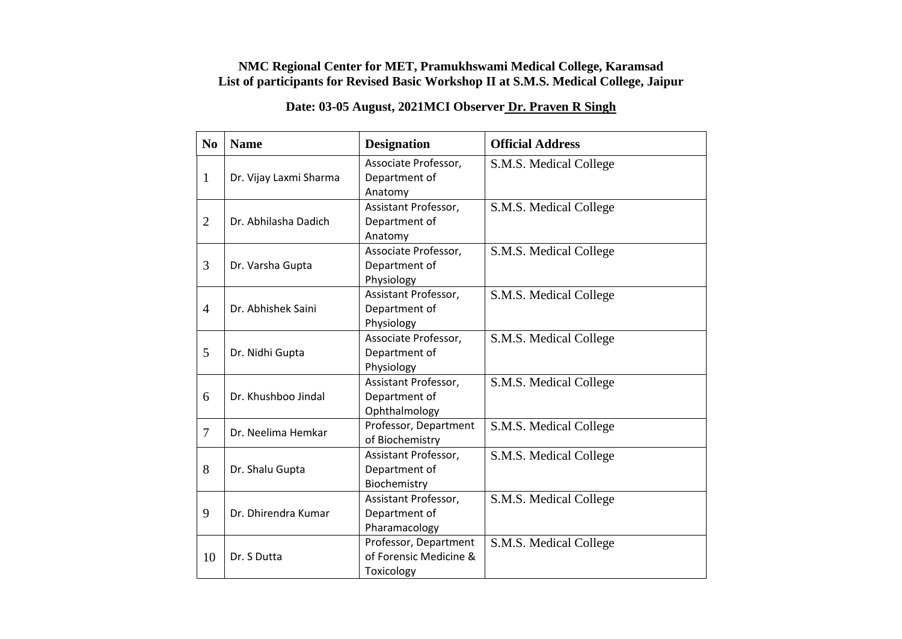## **NMC Regional Center for MET, Pramukhswami Medical College, Karamsad List of participants for Revised Basic Workshop II at S.M.S. Medical College, Jaipur**

## **Date: 03-05 August, 2021MCI Observer Dr. Praven R Singh**

| N <sub>0</sub> | <b>Name</b>            | <b>Designation</b>     | <b>Official Address</b> |
|----------------|------------------------|------------------------|-------------------------|
| $\mathbf{1}$   | Dr. Vijay Laxmi Sharma | Associate Professor,   | S.M.S. Medical College  |
|                |                        | Department of          |                         |
|                |                        | Anatomy                |                         |
|                | Dr. Abhilasha Dadich   | Assistant Professor,   | S.M.S. Medical College  |
| $\overline{2}$ |                        | Department of          |                         |
|                |                        | Anatomy                |                         |
|                | Dr. Varsha Gupta       | Associate Professor,   | S.M.S. Medical College  |
| 3              |                        | Department of          |                         |
|                |                        | Physiology             |                         |
|                |                        | Assistant Professor,   | S.M.S. Medical College  |
| $\overline{4}$ | Dr. Abhishek Saini     | Department of          |                         |
|                |                        | Physiology             |                         |
|                | Dr. Nidhi Gupta        | Associate Professor,   | S.M.S. Medical College  |
| 5              |                        | Department of          |                         |
|                |                        | Physiology             |                         |
|                | Dr. Khushboo Jindal    | Assistant Professor,   | S.M.S. Medical College  |
| 6              |                        | Department of          |                         |
|                |                        | Ophthalmology          |                         |
| $\overline{7}$ | Dr. Neelima Hemkar     | Professor, Department  | S.M.S. Medical College  |
|                |                        | of Biochemistry        |                         |
|                | Dr. Shalu Gupta        | Assistant Professor,   | S.M.S. Medical College  |
| 8              |                        | Department of          |                         |
|                |                        | Biochemistry           |                         |
| 9              | Dr. Dhirendra Kumar    | Assistant Professor,   | S.M.S. Medical College  |
|                |                        | Department of          |                         |
|                |                        | Pharamacology          |                         |
|                | Dr. S Dutta            | Professor, Department  | S.M.S. Medical College  |
| 10             |                        | of Forensic Medicine & |                         |
|                |                        | Toxicology             |                         |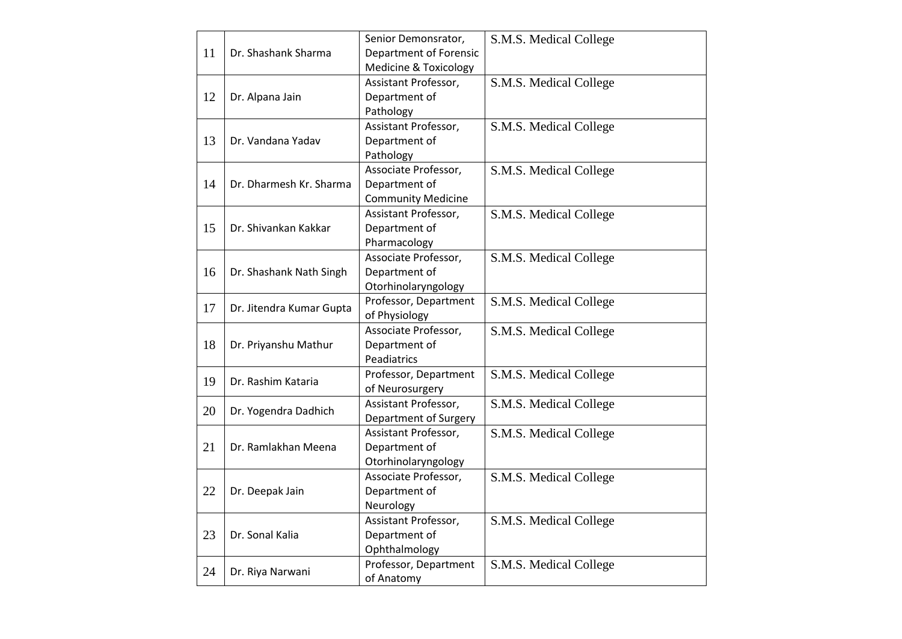|    |                          | Senior Demonsrator,              | S.M.S. Medical College |
|----|--------------------------|----------------------------------|------------------------|
| 11 | Dr. Shashank Sharma      | Department of Forensic           |                        |
|    |                          | <b>Medicine &amp; Toxicology</b> |                        |
|    |                          | Assistant Professor,             | S.M.S. Medical College |
| 12 | Dr. Alpana Jain          | Department of                    |                        |
|    |                          | Pathology                        |                        |
|    |                          | Assistant Professor,             | S.M.S. Medical College |
| 13 | Dr. Vandana Yadav        | Department of                    |                        |
|    |                          | Pathology                        |                        |
|    |                          | Associate Professor,             | S.M.S. Medical College |
| 14 | Dr. Dharmesh Kr. Sharma  | Department of                    |                        |
|    |                          | <b>Community Medicine</b>        |                        |
|    |                          | Assistant Professor,             | S.M.S. Medical College |
| 15 | Dr. Shivankan Kakkar     | Department of                    |                        |
|    |                          | Pharmacology                     |                        |
|    |                          | Associate Professor,             | S.M.S. Medical College |
| 16 | Dr. Shashank Nath Singh  | Department of                    |                        |
|    |                          | Otorhinolaryngology              |                        |
| 17 |                          | Professor, Department            | S.M.S. Medical College |
|    | Dr. Jitendra Kumar Gupta | of Physiology                    |                        |
|    |                          | Associate Professor,             | S.M.S. Medical College |
| 18 | Dr. Priyanshu Mathur     | Department of                    |                        |
|    |                          | Peadiatrics                      |                        |
| 19 | Dr. Rashim Kataria       | Professor, Department            | S.M.S. Medical College |
|    |                          | of Neurosurgery                  |                        |
| 20 |                          | Assistant Professor,             | S.M.S. Medical College |
|    | Dr. Yogendra Dadhich     | Department of Surgery            |                        |
|    |                          | Assistant Professor,             | S.M.S. Medical College |
| 21 | Dr. Ramlakhan Meena      | Department of                    |                        |
|    |                          | Otorhinolaryngology              |                        |
| 22 | Dr. Deepak Jain          | Associate Professor,             | S.M.S. Medical College |
|    |                          | Department of                    |                        |
|    |                          | Neurology                        |                        |
|    | Dr. Sonal Kalia          | Assistant Professor,             | S.M.S. Medical College |
| 23 |                          | Department of                    |                        |
|    |                          | Ophthalmology                    |                        |
| 24 | Dr. Riya Narwani         | Professor, Department            | S.M.S. Medical College |
|    |                          | of Anatomy                       |                        |